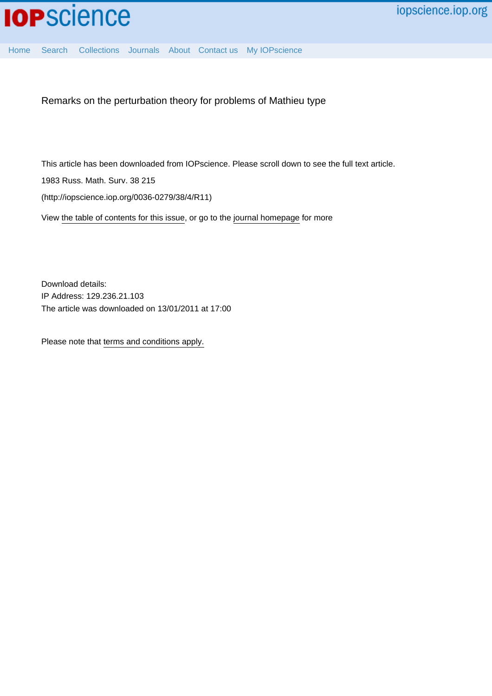

[Home](http://iopscience.iop.org/) [Search](http://iopscience.iop.org/search) [Collections](http://iopscience.iop.org/collections) [Journals](http://iopscience.iop.org/journals) [About](http://iopscience.iop.org/page/aboutioppublishing) [Contact us](http://iopscience.iop.org/contact) [My IOPscience](http://iopscience.iop.org/myiopscience)

Remarks on the perturbation theory for problems of Mathieu type

This article has been downloaded from IOPscience. Please scroll down to see the full text article.

1983 Russ. Math. Surv. 38 215

(http://iopscience.iop.org/0036-0279/38/4/R11)

View [the table of contents for this issue](http://iopscience.iop.org/0036-0279/38/4), or go to the [journal homepage](http://iopscience.iop.org/0036-0279) for more

Download details: IP Address: 129.236.21.103 The article was downloaded on 13/01/2011 at 17:00

Please note that [terms and conditions apply.](http://iopscience.iop.org/page/terms)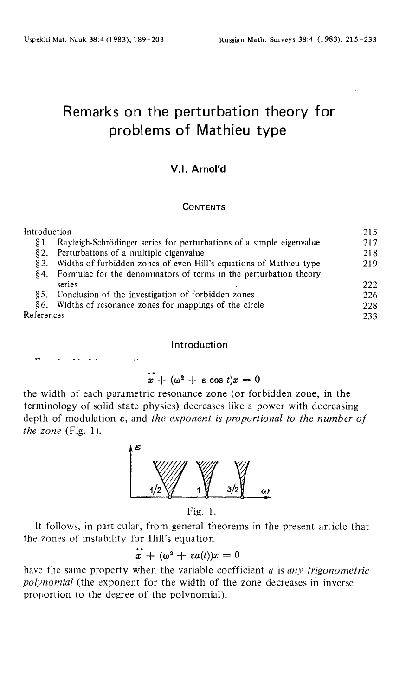# Remarks on the perturbation theory for problems of Mathieu type

## **V.I. Arnol'd**

#### **CONTENTS**

| Introduction |                                                                      | 215 |
|--------------|----------------------------------------------------------------------|-----|
| 81.          | Rayleigh-Schrödinger series for perturbations of a simple eigenvalue | 217 |
| 82.          | Perturbations of a multiple eigenvalue                               | 218 |
| 83.          | Widths of forbidden zones of even Hill's equations of Mathieu type   | 219 |
| 84.          | Formulae for the denominators of terms in the perturbation theory    |     |
|              | series                                                               | 222 |
| 85.          | Conclusion of the investigation of forbidden zones                   | 226 |
|              | §6. Widths of resonance zones for mappings of the circle             | 228 |
| References   |                                                                      | 233 |

### Introduction

## $\epsilon + (\omega^2 + \epsilon \cos t)x = 0$

the width of each parametric resonance zone (or forbidden zone, in the terminology of solid state physics) decreases like a power with decreasing depth of modulation ε, and *the exponent is proportional to the number of the zone* (Fig. 1).



Fig. 1.

It follows, in particular, from general theorems in the present article that the zones of instability for Hill's equation

 $\epsilon + (\omega^2 + \epsilon a(t))x = 0$ 

have the same property when the variable coefficient *a* is *any trigonometric polynomial* (the exponent for the width of the zone decreases in inverse proportion to the degree of the polynomial).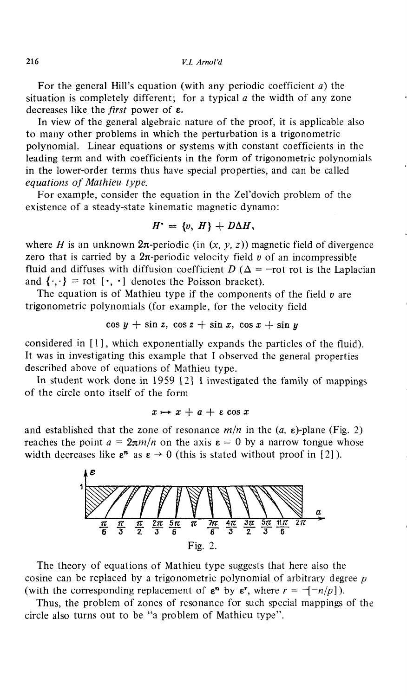For the general Hill's equation (with any periodic coefficient *a)* the situation is completely different; for a typical *a* the width of any zone decreases like the *first* power of ε.

In view of the general algebraic nature of the proof, it is applicable also to many other problems in which the perturbation is a trigonometric polynomial. Linear equations or systems with constant coefficients in the leading term and with coefficients in the form of trigonometric polynomials in the lower-order terms thus have special properties, and can be called *equations of Mathieu type.*

For example, consider the equation in the Zel'dovich problem of the existence of a steady-state kinematic magnetic dynamo:

$$
H' = \{v, H\} + D\Delta H,
$$

where *H* is an unknown  $2\pi$ -periodic (in  $(x, y, z)$ ) magnetic field of divergence zero that is carried by a 2n-periodic velocity field *υ* of an incompressible fluid and diffuses with diffusion coefficient  $D(\Delta = -\text{rot} \text{ rot} \text{ is the Laplacian})$ and  $\{\cdot,\cdot\}$  = rot  $[\cdot,\cdot]$  denotes the Poisson bracket).

The equation is of Mathieu type if the components of the field  $v$  are trigonometric polynomials (for example, for the velocity field

$$
\cos y + \sin z, \cos z + \sin x, \cos x + \sin y
$$

considered in [1], which exponentially expands the particles of the fluid). It was in investigating this example that I observed the general properties described above of equations of Mathieu type.

In student work done in 1959 [2] I investigated the family of mappings of the circle onto itself of the form

 $x \mapsto x + a + \varepsilon \cos x$ 

and established that the zone of resonance  $m/n$  in the  $(a, \varepsilon)$ -plane (Fig. 2) reaches the point  $a = 2\pi m/n$  on the axis  $\varepsilon = 0$  by a narrow tongue whose width decreases like  $\epsilon^n$  as  $\epsilon \to 0$  (this is stated without proof in [2]).



The theory of equations of Mathieu type suggests that here also the cosine can be replaced by a trigonometric polynomial of arbitrary degree *ρ* (with the corresponding replacement of  $\epsilon^n$  by  $\epsilon^r$ , where  $r = -\{-n/p\}$ ).

Thus, the problem of zones of resonance for such special mappings of the circle also turns out to be "a problem of Mathieu type".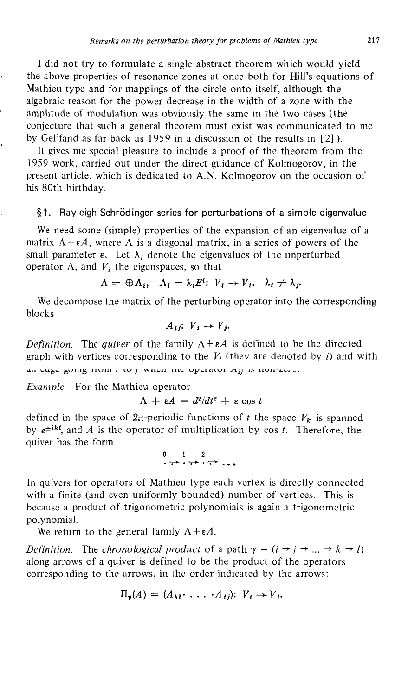I did not try to formulate a single abstract theorem which would yield the above properties of resonance zones at once both for Hill's equations of Mathieu type and for mappings of the circle onto itself, although the algebraic reason for the power decrease in the width of a zone with the amplitude of modulation was obviously the same in the two cases (the conjecture that such a general theorem must exist was communicated to me by Gel'fand as far back as 1959 in a discussion of the results in [2]).

It gives me special pleasure to include a proof of the theorem from the 1959 work, carried out under the direct guidance of Kolmogorov, in the present article, which is dedicated to A.N. Kolmogorov on the occasion of his 80th birthday.

#### §1. Rayleigh-Schrödinger series for perturbations of a simple eigenvalue

We need some (simple) properties of the expansion of an eigenvalue of a matrix  $A + \varepsilon A$ , where  $\Lambda$  is a diagonal matrix, in a series of powers of the small parameter  $\varepsilon$ . Let  $\lambda_i$  denote the eigenvalues of the unperturbed operator  $\Lambda$ , and  $V_i$  the eigenspaces, so that

$$
\Lambda = \bigoplus \Lambda_i, \quad \Lambda_i = \lambda_i E^i: V_i \to V_i, \quad \lambda_i \neq \lambda_j.
$$

We decompose the matrix of the perturbing operator into the corresponding blocks

$$
A_{ij}: V_i \to V_j.
$$

*Definition.* The *quiver* of the family *Λ + εΑ* is defined to be the directed graph with vertices corresponding to the  $V_i$  (thev are denoted by *i*) and with an tugt going nom *ι* το *μ* wnth the optrator  $\pi_{ij}$  is non-zero.

*Example.* For the Mathieu operator

$$
\Lambda + \varepsilon A = d^2/dt^2 + \varepsilon \cos t
$$

defined in the space of  $2\pi$ -periodic functions of *t* the space  $V_k$  is spanned by  $e^{\pm ikt}$ , and A is the operator of multiplication by cos t. Therefore, the quiver has the form

> ι 2 • <del>≠</del>• • <del>≠\*</del> . . .

In quivers for operators of Mathieu type each vertex is directly connected with a finite (and even uniformly bounded) number of vertices. This is because a product of trigonometric polynomials is again a trigonometric polynomial.

We return to the general family  $\Lambda + \varepsilon A$ .

*Definition.* The *chronological product* of a path  $\gamma = (i \rightarrow j \rightarrow ... \rightarrow k \rightarrow l)$ along arrows of a quiver is defined to be the product of the operators corresponding to the arrows, in the order indicated by the arrows:

$$
\Pi_{\gamma}(A) = (A_{kl} \cdot \ldots \cdot A_{ij}) \colon V_i \to V_i.
$$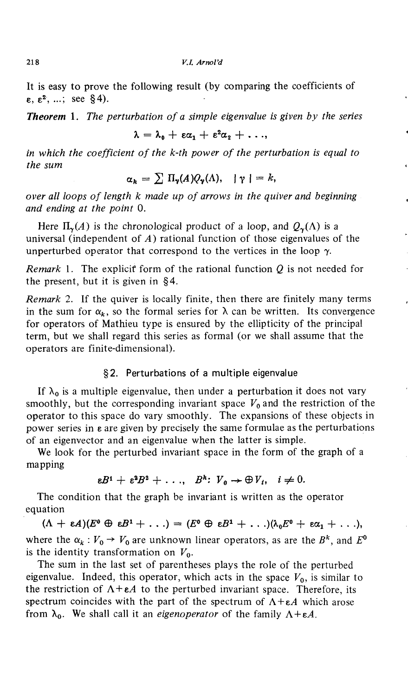It is easy to prove the following result (by comparing the coefficients of  $\varepsilon$ ,  $\varepsilon^2$ , ...; see §4).

*Theorem* **1**. *The perturbation of a simple eigenvalue is given by the series*

$$
\lambda = \lambda_0 + \epsilon \alpha_1 + \epsilon^2 \alpha_2 + \ldots,
$$

*in which the coefficient of the k-th power of the perturbation is equal to the sum*

$$
\alpha_k = \sum \Pi_{\gamma}(A)Q_{\gamma}(\Lambda), \quad |\gamma| = k,
$$

*over all loops of length к made up of arrows in the quiver and beginning and ending at the point* 0.

Here  $\Pi_{\pmb\gamma}(A)$  is the chronological product of a loop, and  $\mathcal{Q}_{\pmb\gamma}(\Lambda)$  is a universal (independent of *A)* rational function of those eigenvalues of the unperturbed operator that correspond to the vertices in the loop  $\gamma$ .

*Remark* 1. The explicit form of the rational function *Q* is not needed for the present, but it is given in §4.

*Remark* 2. If the quiver is locally finite, then there are finitely many terms in the sum for  $\alpha_k$ , so the formal series for  $\lambda$  can be written. Its convergence for operators of Mathieu type is ensured by the ellipticity of the principal term, but we shall regard this series as formal (or we shall assume that the operators are finite-dimensional).

### §2. Perturbations of a multiple eigenvalue

If  $\lambda_0$  is a multiple eigenvalue, then under a perturbation it does not vary smoothly, but the corresponding invariant space *V<sup>o</sup>* and the restriction of the operator to this space do vary smoothly. The expansions of these objects in power series in ε are given by precisely the same formulae as the perturbations of an eigenvector and an eigenvalue when the latter is simple.

We look for the perturbed invariant space in the form of the graph of a mapping

$$
\varepsilon B^i + \varepsilon^2 B^2 + \ldots, \quad B^k \colon V_0 \to \bigoplus V_i, \quad i \neq 0.
$$

The condition that the graph be invariant is written as the operator equation

 $(\Lambda + \varepsilon A)(E^0 \oplus \varepsilon B^1 + \ldots) = (E^0 \oplus \varepsilon B^1 + \ldots)(\lambda_0 E^0 + \varepsilon \alpha_1 + \ldots),$ where the  $\alpha_k : V_0 \to V_0$  are unknown linear operators, as are the  $B^k$ , and  $E^0$ is the identity transformation on *V<sup>o</sup> .*

The sum in the last set of parentheses plays the role of the perturbed eigenvalue. Indeed, this operator, which acts in the space *V<sup>o</sup> ,* is similar to the restriction of  $A + \varepsilon A$  to the perturbed invariant space. Therefore, its spectrum coincides with the part of the spectrum of *Α + εΑ* which arose from  $\lambda_0$ . We shall call it an *eigenoperator* of the family  $Λ + ε$ .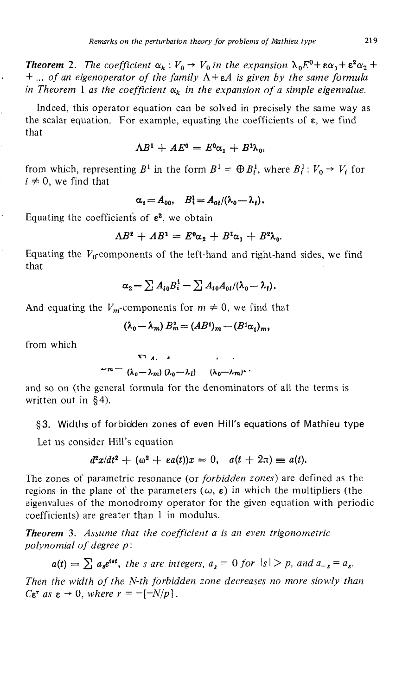*Theorem* 2. The coefficient  $\alpha_k : V_0 \to V_0$  in the expansion  $\lambda_0 E^0 + \epsilon \alpha_1 + \epsilon^2 \alpha_2 + \epsilon^3 \alpha_3$ + ... *of an eigenoperator of the family Α + εΑ is given by the same formula* in Theorem 1 as the coefficient  $\alpha_k$  in the expansion of a simple eigenvalue.

Indeed, this operator equation can be solved in precisely the same way as the scalar equation. For example, equating the coefficients of  $\varepsilon$ , we find that

$$
\Lambda B^1 + AE^0 = E^0 \alpha_1 + B^1 \lambda_0,
$$

from which, representing  $B^1$  in the form  $B^1 = \bigoplus B_i^1$ , where  $B_i^1 : V_0 \to V_i$  for  $i \neq 0$ , we find that

$$
\alpha_i = A_{00}, \quad B_i^1 = A_{0i}/(\lambda_0 - \lambda_i).
$$

Equating the coefficients of  $\varepsilon^2$ , we obtain

$$
\Lambda B^2 + AB^1 = E^0 \alpha_2 + B^1 \alpha_1 + B^2 \lambda_0.
$$

Equating the  $V_0$ -components of the left-hand and right-hand sides, we find that

$$
\alpha_2 = \sum A_{i0} B_i^1 = \sum A_{i0} A_{0i} / (\lambda_0 - \lambda_i).
$$

And equating the  $V_m$ -components for  $m \neq 0$ , we find that

$$
(\lambda_0-\lambda_m) B_m^2 = (AB^1)_m - (B^1\alpha_1)_m,
$$

from which

$$
\sim m = \frac{\lambda_0 - \lambda_m}{(\lambda_0 - \lambda_m) (\lambda_0 - \lambda_l)} \frac{\lambda_0 - \lambda_m}{(\lambda_0 - \lambda_m)^2}
$$

and so on (the general formula for the denominators of all the terms is written out in §4).

## §3. Widths of forbidden zones of even Hill's equations of Mathieu type

Let us consider Hill's equation

$$
d^2x/dt^2 + (\omega^2 + ea(t))x = 0, \quad a(t + 2\pi) \equiv a(t).
$$

The zones of parametric resonance (or *forbidden zones)* are defined as the regions in the plane of the parameters  $(\omega, \varepsilon)$  in which the multipliers (the eigenvalues of the monodromy operator for the given equation with periodic coefficients) are greater than 1 in modulus.

*Theorem* **3.** *Assume that the coefficient a is an even trigonometric polynomial of degree ρ*:

$$
a(t) = \sum a_s e^{ist}
$$
, the s are integers,  $a_s = 0$  for  $|s| > p$ , and  $a_{-s} = a_s$ .

*Then the width of the N-th forbidden zone decreases no more slowly than*  $C\epsilon^r$  as  $\epsilon \to 0$ , where  $r = -[-N/p]$ .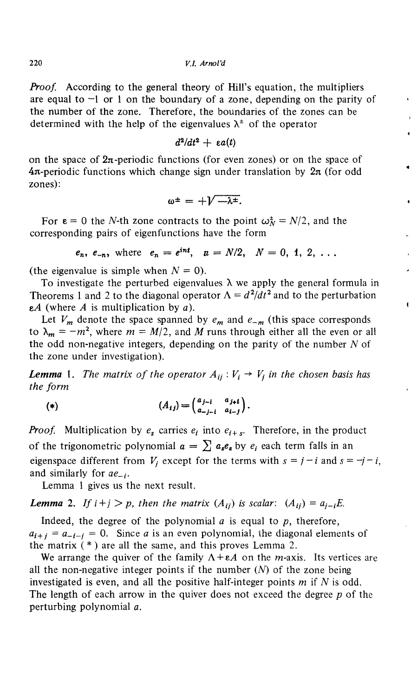220 *V.I. Arnold*

*Proof.* According to the general theory of Hill's equation, the multipliers are equal to  $-1$  or 1 on the boundary of a zone, depending on the parity of the number of the zone. Therefore, the boundaries of the zones can be determined with the help of the eigenvalues  $\lambda^{\pm}$  of the operator

$$
d^2/dt^2 + \varepsilon a(t)
$$

on the space of  $2\pi$ -periodic functions (for even zones) or on the space of  $4\pi$ -periodic functions which change sign under translation by  $2\pi$  (for odd zones):

$$
\omega^{\pm} = +\sqrt{-\lambda^{\pm}}.
$$

For  $\varepsilon = 0$  the *N*-th zone contracts to the point  $\omega_N^{\pm} = N/2$ , and the corresponding pairs of eigenfunctions have the form

$$
e_n, e_{-n}
$$
, where  $e_n = e^{int}, n = N/2, N = 0, 1, 2, ...$ 

(the eigenvalue is simple when  $N = 0$ ).

To investigate the perturbed eigenvalues  $\lambda$  we apply the general formula in Theorems 1 and 2 to the diagonal operator  $\Lambda = d^2/dt^2$  and to the perturbation *eA* (where *A* is multiplication by *a).*

Let  $V_m$  denote the space spanned by  $e_m$  and  $e_{-m}$  (this space corresponds to  $\lambda_m = -m^2$ , where  $m = M/2$ , and M runs through either all the even or all the odd non-negative integers, depending on the parity of the number *N* of the zone under investigation).

*Lemma* 1. *The matrix of the operator*  $A_{ij}$  :  $V_i \rightarrow V_j$  in the chosen basis has *the form*

$$
(*)\qquad \qquad (A_{ij})=\begin{pmatrix} a_{j-i} & a_{j+i} \\ a_{-j-i} & a_{i-j} \end{pmatrix}.
$$

*Proof.* Multiplication by  $e_s$  carries  $e_i$  into  $e_{i+s}$ . Therefore, in the product of the trigonometric polynomial  $a = \sum a_{s}e_{s}$  by  $e_{i}$  each term falls in an eigenspace different from  $V_i$  except for the terms with  $s = j - i$  and  $s = -j - i$ , and similarly for  $ae_{-i}$ .

Lemma 1 gives us the next result.

*Lemma* 2. If  $i + j > p$ , then the matrix  $(A_{ij})$  is scalar:  $(A_{ij}) = a_{j-i}E$ .

Indeed, the degree of the polynomial *a* is equal to *p,* therefore,  $a_{i+j} = a_{-i-j} = 0$ . Since *a* is an even polynomial, the diagonal elements of the matrix  $(*)$  are all the same, and this proves Lemma 2.

We arrange the quiver of the family  $\Lambda + \varepsilon A$  on the *m*-axis. Its vertices are all the non-negative integer points if the number *(N)* of the zone being investigated is even, and all the positive half-integer points *m* if *N* is odd. The length of each arrow in the quiver does not exceed the degree *ρ* of the perturbing polynomial *a.*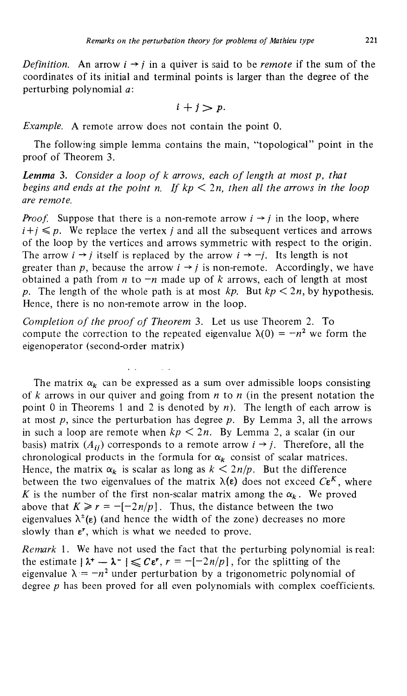*Definition.* An arrow  $i \rightarrow j$  in a quiver is said to be *remote* if the sum of the coordinates of its initial and terminal points is larger than the degree of the perturbing polynomial *a:*

 $i + j > p$ .

*Example.* A remote arrow does not contain the point 0.

The following simple lemma contains the main, "topological" point in the proof of Theorem 3.

*Lemma* 3. *Consider a loop of к arrows, each of length at most p, that begins and ends at the point n. If kp* < *In, then all the arrows in the loop are remote.*

*Proof.* Suppose that there is a non-remote arrow  $i \rightarrow j$  in the loop, where  $i+j \leq p$ . We replace the vertex *j* and all the subsequent vertices and arrows of the loop by the vertices and arrows symmetric with respect to the origin. The arrow  $i \rightarrow j$  itself is replaced by the arrow  $i \rightarrow -j$ . Its length is not greater than p, because the arrow  $i \rightarrow j$  is non-remote. Accordingly, we have obtained a path from *η* to *—n* made up of *к* arrows, each of length at most *p.* The length of the whole path is at most  $kp$ . But  $kp < 2n$ , by hypothesis. Hence, there is no non-remote arrow in the loop.

*Completion of the proof of Theorem* 3. Let us use Theorem 2. To compute the correction to the repeated eigenvalue  $\lambda(0) = -n^2$  we form the eigenoperator (second-order matrix)

The matrix  $\alpha_k$  can be expressed as a sum over admissible loops consisting of *к* arrows in our quiver and going from *η to η* (in the present notation the point 0 in Theorems 1 and 2 is denoted by *n).* The length of each arrow is at most *p,* since the perturbation has degree *p.* By Lemma 3, all the arrows in such a loop are remote when  $kp < 2n$ . By Lemma 2, a scalar (in our basis) matrix  $(A_{ij})$  corresponds to a remote arrow  $i \rightarrow j$ . Therefore, all the chronological products in the formula for  $\alpha_k$  consist of scalar matrices. Hence, the matrix  $\alpha_k$  is scalar as long as  $k < 2n/p$ . But the difference between the two eigenvalues of the matrix  $\lambda(\epsilon)$  does not exceed  $C\epsilon^K$ , where is the number of the first non-scalar matrix among the  $\alpha_k$ . We proved above that  $K \ge r = -[-2n/p]$ . Thus, the distance between the two eigenvalues  $\lambda^{\pm}(\epsilon)$  (and hence the width of the zone) decreases no more slowly than  $\varepsilon^r$ , which is what we needed to prove.

*Remark* 1. We have not used the fact that the perturbing polynomial is real: the estimate  $|\lambda^+ - \lambda^-| \leqslant C \varepsilon^r$ ,  $r = -[-2n/p]$ , for the splitting of the eigenvalue  $\lambda = -n^2$  under perturbation by a trigonometric polynomial of degree *ρ* has been proved for all even polynomials with complex coefficients.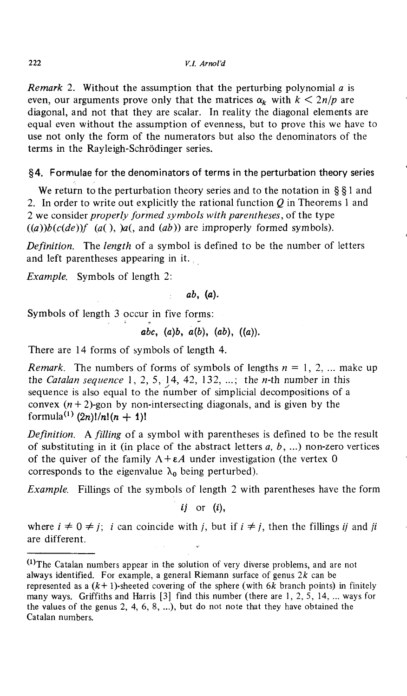*Remark 2.* Without the assumption that the perturbing polynomial *a* is even, our arguments prove only that the matrices  $\alpha_k$  with  $k < 2n/p$  are diagonal, and not that they are scalar. In reality the diagonal elements are equal even without the assumption of evenness, but to prove this we have to use not only the form of the numerators but also the denominators of the terms in the Rayleigh-Schrodinger series.

## §4. Formulae for the denominators of terms in the perturbation theory series

We return to the perturbation theory series and to the notation in § § 1 and 2. In order to write out explicitly the rational function *Q* in Theorems 1 and 2 we consider *properly formed symbols with parentheses,* of the type  $(a)$ *b* $(c(de))$ *f*  $(a()$ *,*  $)a($ *, and*  $(ab)$ *)* are improperly formed symbols).

*Definition.* The *length* of a symbol is defined to be the number of letters and left parentheses appearing in it.

*Example.* Symbols of length 2:

$$
ab, (a).
$$

Symbols of length 3 occur in five forms:

$$
abc, (a)b, a(b), (ab), ((a)).
$$

There are 14 forms of symbols of length 4.

*Remark.* The numbers of forms of symbols of lengths *η* = 1,2,... make up the *Catalan sequence* 1, 2, 5, 14, 42, 132, ...; the *n-th* number in this sequence is also equal to the number of simplicial decompositions of a convex  $(n + 2)$ -gon by non-intersecting diagonals, and is given by the formula<sup>(1)</sup> (2n)!/n!(n + 1)!

*Definition.* A *filling* of a symbol with parentheses is defined to be the result of substituting in it (in place of the abstract letters *a, b,* ...) non-zero vertices of the quiver of the family  $A + \epsilon A$  under investigation (the vertex 0) corresponds to the eigenvalue  $\lambda_0$  being perturbed).

*Example.* Fillings of the symbols of length 2 with parentheses have the form

*ij* or (i),

where  $i \neq 0 \neq j$ ; i can coincide with i, but if  $i \neq j$ , then the fillings ij and ji are different.

<sup>&</sup>lt;sup>(1)</sup>The Catalan numbers appear in the solution of very diverse problems, and are not always identified. For example, a general Riemann surface of genus *2k* can be represented as a  $(k+1)$ -sheeted covering of the sphere (with  $6k$  branch points) in finitely many ways. Griffiths and Harris [3] find this number (there are 1, 2, 5, 14, ... ways for the values of the genus 2, 4, 6, 8, ...), but do not note that they have obtained the Catalan numbers.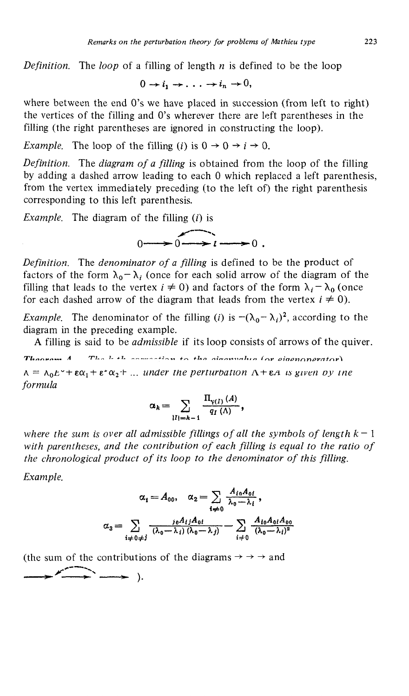*Definition.* The *loop* of a filling of length *η* is defined to be the loop

 $0 \to i_1 \to \ldots \to i_n \to 0,$ 

where between the end 0's we have placed in succession (from left to right) the vertices of the filling and O's wherever there are left parentheses in the filling (the right parentheses are ignored in constructing the loop).

*Example.* The loop of the filling (i) is  $0 \rightarrow 0 \rightarrow i \rightarrow 0$ .

*Definition.* The *diagram of a filling* is obtained from the loop of the filling by adding a dashed arrow leading to each 0 which replaced a left parenthesis, from the vertex immediately preceding (to the left of) the right parenthesis corresponding to this left parenthesis.

*Example.* The diagram of the filling  $(i)$  is

 $0 \longrightarrow 0 \longrightarrow 1 \longrightarrow 0$ 

*Definition.* The *denominator of a filling* is defined to be the product of factors of the form  $\lambda_0 - \lambda_i$  (once for each solid arrow of the diagram of the filling that leads to the vertex  $i \neq 0$ ) and factors of the form  $\lambda_i - \lambda_0$  (once for each dashed arrow of the diagram that leads from the vertex  $i \neq 0$ ).

*Example*. The denominator of the filling (*i*) is  $-(\lambda_0 - \lambda_i)^2$ , according to the diagram in the preceding example.

A filling is said to be *admissible* if its loop consists of arrows of the quiver.

The lette compation to the circumstual or eigenonerator) **л п .»~.***<sup>Л</sup>*

 $= \lambda_0 E^* + \epsilon \alpha_1 + \epsilon^* \alpha_2 + \ldots$  under the perturbation  $\Lambda + \epsilon A$  is given by the *formula*

$$
\alpha_k = \sum_{|I|=k-1} \frac{\Pi_{\gamma(I)}(A)}{q_I(\Lambda)},
$$

where the sum is over all admissible fillings of all the symbols of length  $k-1$ *with parentheses, and the contribution of each filling is equal to the ratio of the chronological product of its loop to the denominator of this filling.*

*Example.*

$$
\alpha_1 = A_{00}, \quad \alpha_2 = \sum_{i \neq 0} \frac{A_{i0} A_{0i}}{\lambda_0 - \lambda_i},
$$

$$
\alpha_3 = \sum_{i \neq 0 \neq j} \frac{i \theta A_{ij} A_{0i}}{(\lambda_0 - \lambda_i) (\lambda_0 - \lambda_j)} - \sum_{i \neq 0} \frac{A_{i0} A_{0i} A_{00}}{(\lambda_0 - \lambda_i)^2}
$$

(the sum of the contributions of the diagrams  $\rightarrow \rightarrow \rightarrow$  and  $\Longrightarrow$   $\Longrightarrow$  ).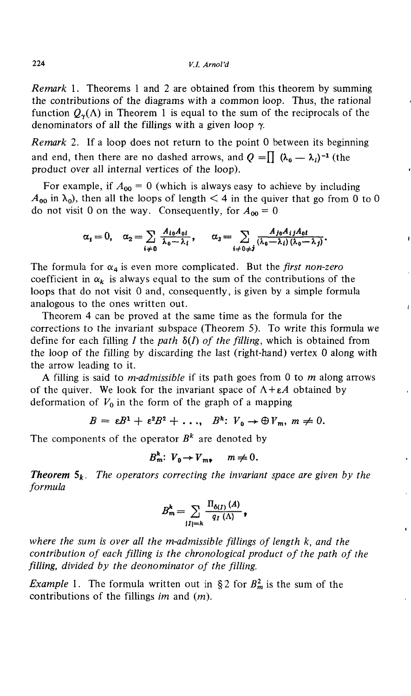*Remark* 1. Theorems 1 and 2 are obtained from this theorem by summing the contributions of the diagrams with a common loop. Thus, the rational function  $Q_{\gamma}(\Lambda)$  in Theorem 1 is equal to the sum of the reciprocals of the denominators of all the fillings with a given loop  $\gamma$ .

*Remark 2.* If a loop does not return to the point 0 between its beginning and end, then there are no dashed arrows, and  $Q = \prod (\lambda_0 - \lambda_i)^{-1}$  (the product over all internal vertices of the loop).

For example, if  $A_{00} = 0$  (which is always easy to achieve by including  $A_{\bf 0 0}$  in  $\lambda_{\bf 0}$ ), then all the loops of length  $<$  4 in the quiver that go from 0 to 0 do not visit 0 on the way. Consequently, for  $A_{00} = 0$ 

$$
\alpha_i=0,\quad \alpha_2=\sum_{i\neq 0}\frac{A_{i0}A_{0i}}{\lambda_0-\lambda_i},\qquad \alpha_3=\sum_{i\neq 0\neq j}\frac{A_{j0}A_{i1}A_{0i}}{(\lambda_0-\lambda_i)(\lambda_0-\lambda_j)}.
$$

 $\bullet$ 

The formula for  $\alpha_4$  is even more complicated. But the *first non-zero* coefficient in  $\alpha_k$  is always equal to the sum of the contributions of the loops that do not visit 0 and, consequently, is given by a simple formula analogous to the ones written out.

Theorem 4 can be proved at the same time as the formula for the corrections to the invariant subspace (Theorem 5). To write this formula we define for each filling / the *path* δ(7) *of the filling,* which is obtained from the loop of the filling by discarding the last (right-hand) vertex 0 along with the arrow leading to it.

A filling is said to *m-admissible* if its path goes from 0 to *m* along arrows of the quiver. We look for the invariant space of *Α + εΑ* obtained by deformation of  $V_0$  in the form of the graph of a mapping

$$
B = \varepsilon B^1 + \varepsilon^2 B^2 + \ldots, \quad B^h: V_0 \to \bigoplus V_m, \ m \neq 0.
$$

The components of the operator  $B^k$  are denoted by

$$
B_m^h: V_0 \to V_{m+} \quad m \neq 0.
$$

*Theorem*  $\mathbf{5}_k$ . The operators correcting the invariant space are given by the *formula*

$$
B_m^k = \sum_{|I|=k} \frac{\Pi_{\delta(I)}(A)}{q_I(\Lambda)},
$$

*where the sum is over all the m-admissible fillings of length к, and the contribution of each filling is the chronological product of the path of the filling, divided by the deonominator of the filling.*

*Example* 1. The formula written out in § 2 for  $B_m^2$  is the sum of the contributions of the fillings *im* and (m).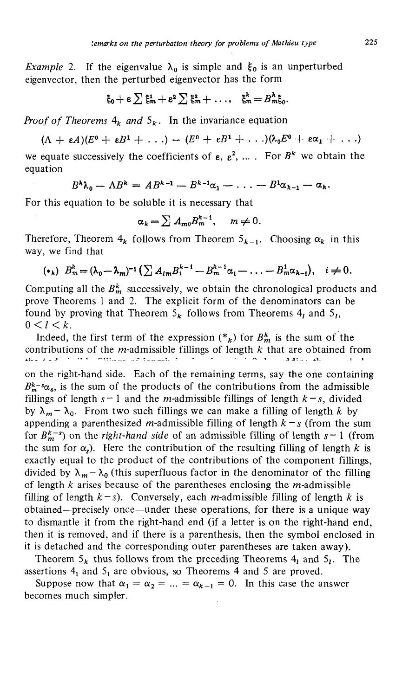*Example* 2. If the eigenvalue  $\lambda_0$  is simple and  $\xi_0$  is an unperturbed eigenvector, then the perturbed eigenvector has the form

$$
\xi_0+\varepsilon\sum\xi_m^1+\varepsilon^2\sum\xi_m^2+\ldots,\quad \xi_m^k=B_m^k\xi_0.
$$

*Proof of Theorems*  $4_k$  *and*  $5_k$ . In the invariance equation

$$
(\Lambda + \varepsilon A)(E^0 + \varepsilon B^1 + \ldots) = (E^0 + \varepsilon B^1 + \ldots)(\lambda_0 E^0 + \varepsilon \alpha_1 + \ldots)
$$

we equate successively the coefficients of  $\varepsilon$ ,  $\varepsilon^2$ , .... For  $B^k$  we obtain the equation

$$
B^k\lambda_0-\Lambda B^k=A B^{k-1}-B^{k-1}\alpha_1-\ldots-B^1\alpha_{k-1}-\alpha_k.
$$

For this equation to be soluble it is necessary that

$$
\alpha_k = \sum A_{m0} B_m^{k-1}, \quad m \neq 0.
$$

Therefore, Theorem  $4_k$  follows from Theorem  $5_{k-1}$ . Choosing  $\alpha_k$  in this way, we find that

$$
(*_h) B_m^h = (\lambda_0 - \lambda_m)^{-1} \left( \sum A_{im} B_i^{h-1} - B_m^{h-1} \alpha_1 - \ldots - B_m^1 \alpha_{h-1} \right), \quad i \neq 0.
$$

Computing all the  $B^k_m$  successively, we obtain the chronological products and prove Theorems 1 and 2. The explicit form of the denominators can be found by proving that Theorem  $5_k$  follows from Theorems  $4_l$  and  $5_l$ ,  $0 < l < k$ .

Indeed, the first term of the expression  $(*_k)$  for  $B_m^k$  is the sum of the contributions of the m-admissible fillings of length *к* that are obtained from  $3.333...141.$ on the right-hand side. Each of the remaining terms, say the one containing  $B_{m}^{k-s}\alpha_{s}$ , is the sum of the products of the contributions from the admissible fillings of length  $s-1$  and the *m*-admissible fillings of length  $k-s$ , divided by  $\lambda_m - \lambda_0$ . From two such fillings we can make a filling of length *k* by appending a parenthesized m-admissible filling of length *к — s* (from the sum for  $B^{k-s}_{m}$  on the *right-hand side* of an admissible filling of length  $s-1$  (from the sum for  $\alpha_s$ ). Here the contribution of the resulting filling of length k is exactly equal to the product of the contributions of the component fillings, divided by  $\lambda_m - \lambda_0$  (this superfluous factor in the denominator of the filling of length *к* arises because of the parentheses enclosing the m-admissible filling of length  $k-s$ ). Conversely, each *m*-admissible filling of length *k* is obtained—precisely once—under these operations, for there is a unique way to dismantle it from the right-hand end (if a letter is on the right-hand end, then it is removed, and if there is a parenthesis, then the symbol enclosed in it is detached and the corresponding outer parentheses are taken away).

Theorem  $5_k$  thus follows from the preceding Theorems  $4_l$  and  $5_l$ . The assertions  $4_1$  and  $5_1$  are obvious, so Theorems 4 and 5 are proved.

Suppose now that  $\alpha_1 = \alpha_2 = ... = \alpha_{k-1} = 0$ . In this case the answer becomes much simpler.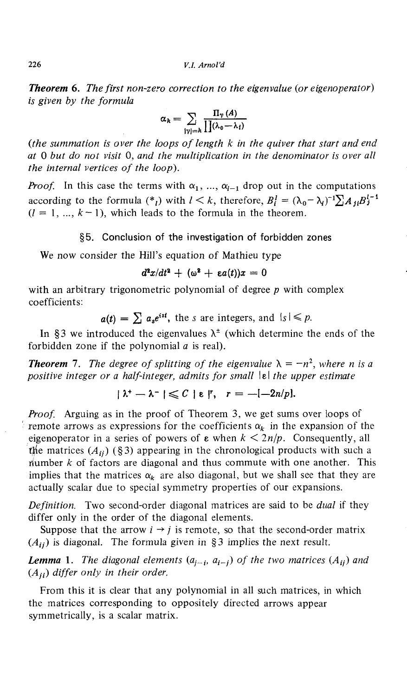*Theorem* **6.** *The first non-zero correction to the eigenvalue {or eigenoperator) is given by the formula*

$$
\alpha_k = \sum_{|\gamma|=k} \frac{\Pi_{\gamma}(A)}{\prod(\lambda_0 - \lambda_i)}
$$

*(the summation is over the loops of length к in the quiver that start and end at* 0 *but do not visit* 0, *and the multiplication in the denominator is over all the internal vertices of the loop).*

*Proof.* In this case the terms with  $\alpha_1$ , ...,  $\alpha_{l-1}$  drop out in the computations according to the formula  $({}^*{}_l)$  with  $l < k$ , therefore,  $B_l^1 = (\lambda_0 - \lambda_i)^{-1} \sum A_{jl} B_j^{l-1}$  $(l = 1, ..., k-1)$ , which leads to the formula in the theorem.

#### §5. Conclusion of the investigation of forbidden zones

We now consider the Hill's equation of Mathieu type

 $\kappa^2 x/dt^2 + (\omega^2 + \varepsilon a(t))x = 0$ 

with an arbitrary trigonometric polynomial of degree *ρ* with complex coefficients:

 $a(t) = \sum a_s e^{ist}$ , the *s* are integers, and  $|s| \leq p$ .

In §3 we introduced the eigenvalues  $\lambda^{\pm}$  (which determine the ends of the forbidden zone if the polynomial *a* is real).

*Theorem* 7. The degree of splitting of the eigenvalue  $\lambda = -n^2$ , where *n* is a *positive integer or a half-integer, admits for small*  $|$  *ε <i>the upper estimate* 

$$
|\lambda^* - \lambda^-| \leqslant C |\varepsilon|^r, \quad r = -[-2n/p].
$$

*Proof.* Arguing as in the proof of Theorem 3, we get sums over loops of remote arrows as expressions for the coefficients  $\alpha_k$  in the expansion of the eigenoperator in a series of powers of  $\varepsilon$  when  $k < 2n/p$ . Consequently, all the matrices  $(A_{ii})$  (§3) appearing in the chronological products with such a riumber *к* of factors are diagonal and thus commute with one another. This implies that the matrices  $\alpha_k$  are also diagonal, but we shall see that they are actually scalar due to special symmetry properties of our expansions.

*Definition.* Two second-order diagonal matrices are said to be *dual* if they differ only in the order of the diagonal elements.

Suppose that the arrow  $i \rightarrow j$  is remote, so that the second-order matrix *(Ац)* is diagonal. The formula given in §3 implies the next result.

*Lemma* 1. The diagonal elements  $(a_{j-i}, a_{i-j})$  of the two matrices  $(A_{ij})$  and *differ only in their order.*

From this it is clear that any polynomial in all such matrices, in which the matrices corresponding to oppositely directed arrows appear symmetrically, is a scalar matrix.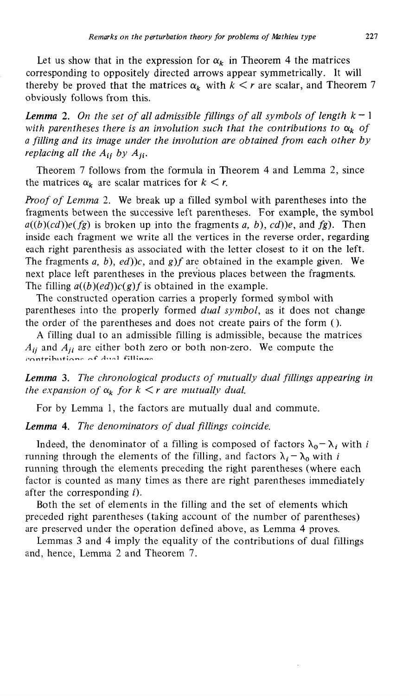Let us show that in the expression for  $\alpha_k$  in Theorem 4 the matrices corresponding to oppositely directed arrows appear symmetrically. It will thereby be proved that the matrices  $\alpha_k$  with  $k \leq r$  are scalar, and Theorem 7 obviously follows from this.

*Lemma 2. On the set of all admissible fillings of all symbols of length к —* 1 with parentheses there is an involution such that the contributions to  $\alpha_k$  of *a filling and its image under the involution are obtained from each other by replacing all the*  $A_{ij}$  *by*  $A_{ji}$ .

Theorem 7 follows from the formula in Theorem 4 and Lemma 2, since the matrices  $\alpha_k$  are scalar matrices for  $k < r$ .

*Proof of Lemma 2.* We break up a filled symbol with parentheses into the fragments between the successive left parentheses. For example, the symbol  $a((b)(cd))e(fg)$  is broken up into the fragments a, b), cd))e, and fg). Then inside each fragment we write all the vertices in the reverse order, regarding each right parenthesis as associated with the letter closest to it on the left. The fragments *a, b), ed))c,* and *g)f* are obtained in the example given. We next place left parentheses in the previous places between the fragments. The filling  $a((b)(ed))c(g)f$  is obtained in the example.

The constructed operation carries a properly formed symbol with parentheses into the properly formed *dual symbol,* as it does not change the order of the parentheses and does not create pairs of the form ().

A filling dual to an admissible filling is admissible, because the matrices *Ац* and *Αμ* are either both zero or both non-zero. We compute the contributions of dual fillings

*Lemma* **3.** *The chronological products of mutually dual fillings appearing in the expansion of*  $\alpha_k$  *for*  $k < r$  *are mutually dual.* 

For by Lemma 1, the factors are mutually dual and commute.

*Lemma* **4.** *The denominators of dual fillings coincide.*

Indeed, the denominator of a filling is composed of factors  $\lambda_0 - \lambda_i$  with *i* running through the elements of the filling, and factors  $\lambda_i - \lambda_0$  with *i* running through the elements preceding the right parentheses (where each factor is counted as many times as there are right parentheses immediately after the corresponding  $i$ ).

Both the set of elements in the filling and the set of elements which preceded right parentheses (taking account of the number of parentheses) are preserved under the operation defined above, as Lemma 4 proves.

Lemmas 3 and 4 imply the equality of the contributions of dual fillings and, hence, Lemma 2 and Theorem 7.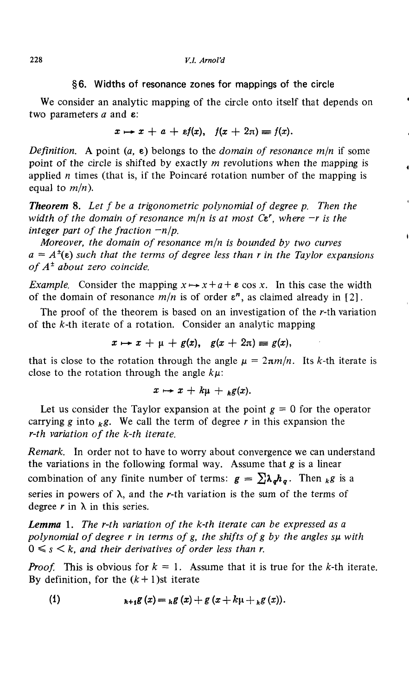#### §6. Widths of resonance zones for mappings of the circle

We consider an analytic mapping of the circle onto itself that depends on two parameters *a* and ε:

$$
x \mapsto x + a + \varepsilon f(x), \quad f(x + 2\pi) \equiv f(x).
$$

*Definition.* A point *(α,* ε) belongs to the *domain of resonance m/n* if some point of the circle is shifted by exactly *m* revolutions when the mapping is applied *η* times (that is, if the Poincare rotation number of the mapping is equal to *m/n).*

*Theorem* **8.** *Let f be a trigonometric polynomial of degree p. Then the width, of the domain of resonance m/n is at most Ct<sup>r</sup> , where —r is the integer part of the fraction -n/p.*

*Moreover, the domain of resonance m/n is bounded by two curves*  $a = A^{\dagger}(\epsilon)$  such that the terms of degree less than r in the Taylor expansions *of A\* about zero coincide.*

*Example.* Consider the mapping  $x \mapsto x + a + \varepsilon \cos x$ . In this case the width of the domain of resonance  $m/n$  is of order  $\varepsilon^n$ , as claimed already in [2].

The proof of the theorem is based on an investigation of the *r-th* variation of the *k-th* iterate of a rotation. Consider an analytic mapping

$$
x \mapsto x + \mu + g(x), \quad g(x + 2\pi) \equiv g(x),
$$

that is close to the rotation through the angle  $\mu = 2\pi m/n$ . Its k-th iterate is close to the rotation through the angle  $k\mu$ :

$$
x\mapsto x+k\mu +_h g(x).
$$

Let us consider the Taylor expansion at the point  $g = 0$  for the operator carrying g into  $_k g$ . We call the term of degree r in this expansion the *r-th variation of the k-th iterate.*

*Remark.* In order not to have to worry about convergence we can understand the variations in the following formal way. Assume that *g* is a linear combination of any finite number of terms:  $g = \sum \lambda_a h_a$ . Then <sub>k</sub>*g* is a series in powers of  $\lambda$ , and the r-th variation is the sum of the terms of degree  $r$  in  $\lambda$  in this series.

*Lemma* **1**. *The r-th variation of the k-th iterate can be expressed as a polynomial of degree r in terms of g, the shifts of g by the angles su with*  $0 \leq s \leq k$ , and their derivatives of order less than r.

*Proof.* This is obvious for  $k = 1$ . Assume that it is true for the k-th iterate. By definition, for the  $(k+1)$ st iterate

(1) 
$$
{}_{k+1}g(x) = {}_{k}g(x) + g(x) + k\mu + {}_{k}g(x).
$$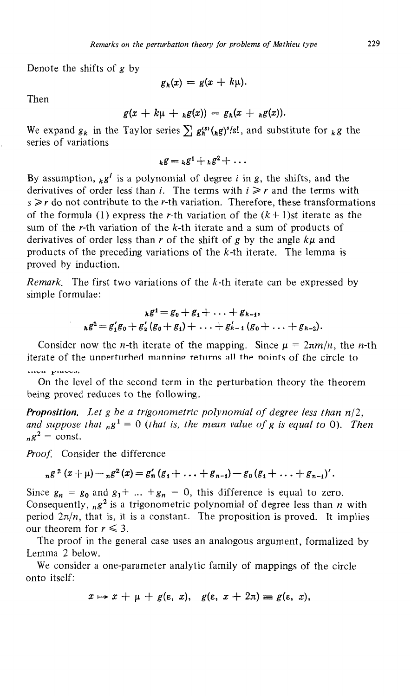Denote the shifts of *g* by

$$
g_k(x) = g(x + k\mu).
$$

Then

$$
g(x + k\mu + {}_h g(x)) = g_k(x + {}_h g(x)).
$$

We expand  $g_k$  in the Taylor series  $\sum g_k^{(s)}({}_kg)^s/s!$ , and substitute for  ${}_{k}g$  the series of variations

$$
_kg = {}_kg^1 + {}_kg^2 + \ldots
$$

By assumption,  $_k g^i$  is a polynomial of degree *i* in *g*, the shifts, and the derivatives of order less than *i*. The terms with  $i \geq r$  and the terms with  $s \ge r$  do not contribute to the r-th variation. Therefore, these transformations of the formula (1) express the *r*-th variation of the  $(k+1)$ st iterate as the sum of the r-th variation of the *k-th* iterate and a sum of products of derivatives of order less than *r* of the shift of *g* by the angle *kμ* and products of the preceding variations of the  $k$ -th iterate. The lemma is proved by induction.

*Remark.* The first two variations of the *k-th* iterate can be expressed by simple formulae:

$$
{}_{k}g^{i}=g_{0}+g_{1}+\ldots+g_{k-1},
$$
  

$$
{}_{k}g^{2}=g'_{1}g_{0}+g'_{2}(g_{0}+g_{1})+\ldots+g'_{k-1}(g_{0}+\ldots+g_{k-2}).
$$

Consider now the *n*-th iterate of the mapping. Since  $\mu = 2\pi m/n$ , the *n*-th iterate of the unperturbed manning returns all the noints of the circle to **41V U ^1 U V-V^LJ.**

On the level of the second term in the perturbation theory the theorem being proved reduces to the following.

*Proposition. Let g be a trigonometric polynomial of degree less than* и/2, and suppose that  $_B^1 = 0$  (that is, the mean value of g is equal to 0). Then  $n g^2 = \text{const.}$ 

*Proof.* Consider the difference

$$
_{n}g^{2}(x+\mu)-_{n}g^{2}(x)=g'_{n}(g_{1}+\ldots+g_{n-1})-g_{0}(g_{1}+\ldots+g_{n-1})'.
$$

Since  $g_n = g_0$  and  $g_1 + \ldots + g_n = 0$ , this difference is equal to zero. Consequently, <sub>n</sub>g<sup>2</sup> is a trigonometric polynomial of degree less than *η* with period  $2\pi/n$ , that is, it is a constant. The proposition is proved. It implies our theorem for  $r \leq 3$ .

The proof in the general case uses an analogous argument, formalized by Lemma 2 below.

We consider a one-parameter analytic family of mappings of the circle onto itself:

 $x \mapsto x + \mu + g(\varepsilon, x), \quad g(\varepsilon, x + 2\pi) \equiv g(\varepsilon, x),$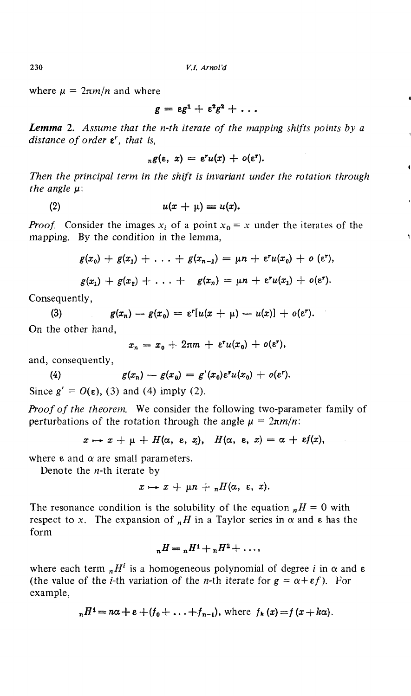where  $\mu = 2\pi m/n$  and where

$$
g = \varepsilon g^1 + \varepsilon^2 g^2 + \ldots
$$

*Lemma* 2. *Assume that the n-th iterate of the mapping shifts points by a distance of order t<sup>r</sup> , that is,*

$$
{}_n g(\varepsilon, x) = \varepsilon^r u(x) + o(\varepsilon^r).
$$

*Then the principal term in the shift is invariant under the rotation through the angle μ:*

$$
(2) \t u(x + \mu) \equiv u(x).
$$

*Proof.* Consider the images  $x_i$  of a point  $x_0 = x$  under the iterates of the mapping. By the condition in the lemma,

$$
g(x_0)+g(x_1)+\ldots+g(x_{n-1})=\mu n+\epsilon^r u(x_0)+o(\epsilon^r),
$$

$$
g(x_1)+g(x_2)+\ldots+g(x_n)=\mu n+\epsilon^r u(x_1)+o(\epsilon^r).
$$

Consequently,

(3)  $g(x_n) - g(x_0) = \varepsilon^r[u(x + \mu) - u(x)] + o(\varepsilon^r).$ On the other hand,

$$
x_n = x_0 + 2\pi m + \varepsilon^r u(x_0) + o(\varepsilon^r),
$$

and, consequently,

(4) 
$$
g(x_n) - g(x_0) = g'(x_0) \varepsilon^r u(x_0) + o(\varepsilon^r).
$$

Since  $g' = O(\varepsilon)$ , (3) and (4) imply (2).

*Proof of the theorem.* We consider the following two-parameter family of perturbations of the rotation through the angle  $\mu = 2\pi m/n$ :

$$
x \mapsto x + \mu + H(\alpha, \varepsilon, x), \quad H(\alpha, \varepsilon, x) = \alpha + \varepsilon f(x),
$$

where  $\varepsilon$  and  $\alpha$  are small parameters.

Denote the *n-th* iterate by

$$
x \mapsto x + \mu n + {}_nH(\alpha, \varepsilon, x).
$$

The resonance condition is the solubility of the equation  $H = 0$  with respect to x. The expansion of  $_{n}H$  in a Taylor series in  $\alpha$  and  $\epsilon$  has the form

$$
{}_{n}H = {}_{n}H^{1} + {}_{n}H^{2} + \ldots,
$$

where each term  $_{n}H^{i}$  is a homogeneous polynomial of degree *i* in  $\alpha$  and  $\epsilon$ (the value of the *i*-th variation of the *n*-th iterate for  $g = \alpha + \epsilon f$ ). For example,

$$
{}_{n}H^{1}=n\alpha+\epsilon+(f_{0}+\ldots+f_{n-1}), \text{ where } f_{k}(x)=f(x+k\alpha).
$$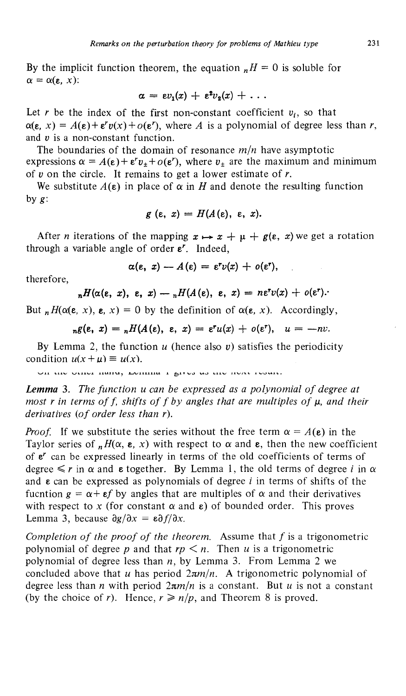By the implicit function theorem, the equation  $H = 0$  is soluble for  $\alpha = \alpha(\varepsilon, x)$ :

$$
\alpha = \epsilon v_1(x) + \epsilon^2 v_2(x) + \ldots
$$

Let *r* be the index of the first non-constant coefficient  $v_i$ , so that  $\alpha(\varepsilon, x) = A(\varepsilon) + \varepsilon^r v(x) + o(\varepsilon^r)$ , where A is a polynomial of degree less than r, and  $v$  is a non-constant function.

The boundaries of the domain of resonance *m/n* have asymptotic expressions  $\alpha = A(\epsilon) + \epsilon^r v_{\pm} + o(\epsilon^r)$ , where  $v_{\pm}$  are the maximum and minimum of *υ* on the circle. It remains to get a lower estimate of *r.*

We substitute  $A(\varepsilon)$  in place of  $\alpha$  in *H* and denote the resulting function by *g:*

$$
g\left(\varepsilon,\ x\right)=H(A(\varepsilon),\ \varepsilon,\ x).
$$

After *n* iterations of the mapping  $x \mapsto x + \mu + g(\varepsilon, x)$  we get a rotation through a variable angle of order *г.* Indeed,

$$
\alpha(\varepsilon, x) - A(\varepsilon) = \varepsilon^r v(x) + o(\varepsilon^r),
$$

therefore,

$$
{}_{n}H(\alpha(\varepsilon, x), \varepsilon, x) - {}_{n}H(A(\varepsilon), \varepsilon, x) = n\varepsilon^{r}v(x) + o(\varepsilon^{r}).
$$

But  $nH(\alpha(\varepsilon, x), \varepsilon, x) = 0$  by the definition of  $\alpha(\varepsilon, x)$ . Accordingly,

$$
_{n}g(\varepsilon, x) = {}_{n}H(A(\varepsilon), \varepsilon, x) = \varepsilon^{r}u(x) + o(\varepsilon^{r}), \quad u = -nv.
$$

By Lemma 2, the function *и* (hence also *υ)* satisfies the periodicity condition  $u(x + \mu) \equiv u(x)$ .

On the other nand, Lemma I give us the next result.

*Lemma* 3. *The function и can be expressed as a polynomial of degree at most r in terms of f shifts of f by angles that are multiples of μ, and their derivatives (of order less than r).*

*Proof.* If we substitute the series without the free term  $\alpha = A(\mathbf{e})$  in the Taylor series of  $H(\alpha, \epsilon, x)$  with respect to  $\alpha$  and  $\epsilon$ , then the new coefficient of *ε* can be expressed linearly in terms of the old coefficients of terms of degree  $\leq r$  in  $\alpha$  and  $\epsilon$  together. By Lemma 1, the old terms of degree *i* in  $\alpha$ and ε can be expressed as polynomials of degree *i* in terms of shifts of the fucntion  $g = \alpha + \epsilon f$  by angles that are multiples of  $\alpha$  and their derivatives with respect to  $x$  (for constant  $\alpha$  and  $\varepsilon$ ) of bounded order. This proves Lemma 3, because  $\frac{\partial g}{\partial x} = \epsilon \frac{\partial f}{\partial x}$ .

*Completion of the proof of the theorem.* Assume that  $f$  is a trigonometric polynomial of degree *ρ* and that *rp < n.* Then *и* is a trigonometric polynomial of degree less than *n,* by Lemma 3. From Lemma 2 we concluded above that *и* has period *2лт/п. A* trigonometric polynomial of degree less than *η* with period *2лт/п* is a constant. But *и* is not a constant (by the choice of *r*). Hence,  $r \ge n/p$ , and Theorem 8 is proved.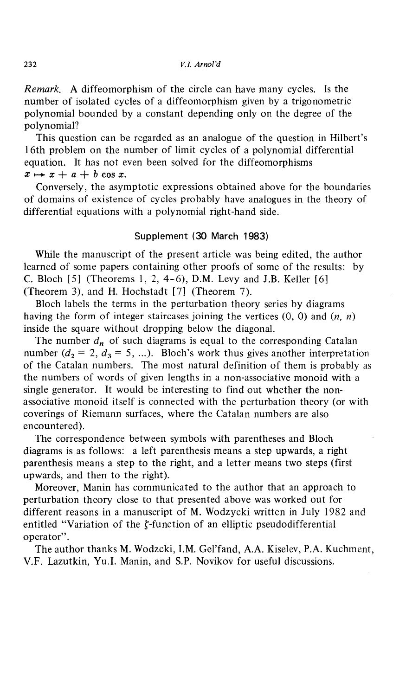#### 232 *V.I. Arnol'd*

*Remark.* A diffeomorphism of the circle can have many cycles. Is the number of isolated cycles of a diffeomorphism given by a trigonometric polynomial bounded by a constant depending only on the degree of the polynomial?

This question can be regarded as an analogue of the question in Hilbert's 16th problem on the number of limit cycles of a polynomial differential equation. It has not even been solved for the diffeomorphisms  $x \mapsto x + a + b \cos x$ .

Conversely, the asymptotic expressions obtained above for the boundaries of domains of existence of cycles probably have analogues in the theory of differential equations with a polynomial right-hand side.

## Supplement (30 March 1983)

While the manuscript of the present article was being edited, the author learned of some papers containing other proofs of some of the results: by C. Bloch  $[5]$  (Theorems 1, 2, 4-6), D.M. Levy and J.B. Keller  $[6]$ (Theorem 3), and H. Hochstadt [7] (Theorem 7).

Bloch labels the terms in the perturbation theory series by diagrams having the form of integer staircases joining the vertices (0, 0) and *(n, n)* inside the square without dropping below the diagonal.

The number  $d_n$  of such diagrams is equal to the corresponding Catalan number  $(d_2 = 2, d_3 = 5, ...)$ . Bloch's work thus gives another interpretation of the Catalan numbers. The most natural definition of them is probably as the numbers of words of given lengths in a non-associative monoid with a single generator. It would be interesting to find out whether the non associative monoid itself is connected with the perturbation theory (or with coverings of Riemann surfaces, where the Catalan numbers are also encountered).

The correspondence between symbols with parentheses and Bloch diagrams is as follows: a left parenthesis means a step upwards, a right parenthesis means a step to the right, and a letter means two steps (first upwards, and then to the right).

Moreover, Manin has communicated to the author that an approach to perturbation theory close to that presented above was worked out for different reasons in a manuscript of M. Wodzycki written in July 1982 and entitled "Variation of the  $\zeta$ -function of an elliptic pseudodifferential operator".

The author thanks M. Wodzcki, I.M. Gel'fand, A.A. Kiselev, P.A. Kuchment, V.F. Lazutkin, Yu.I. Manin, and S.P. Novikov for useful discussions.